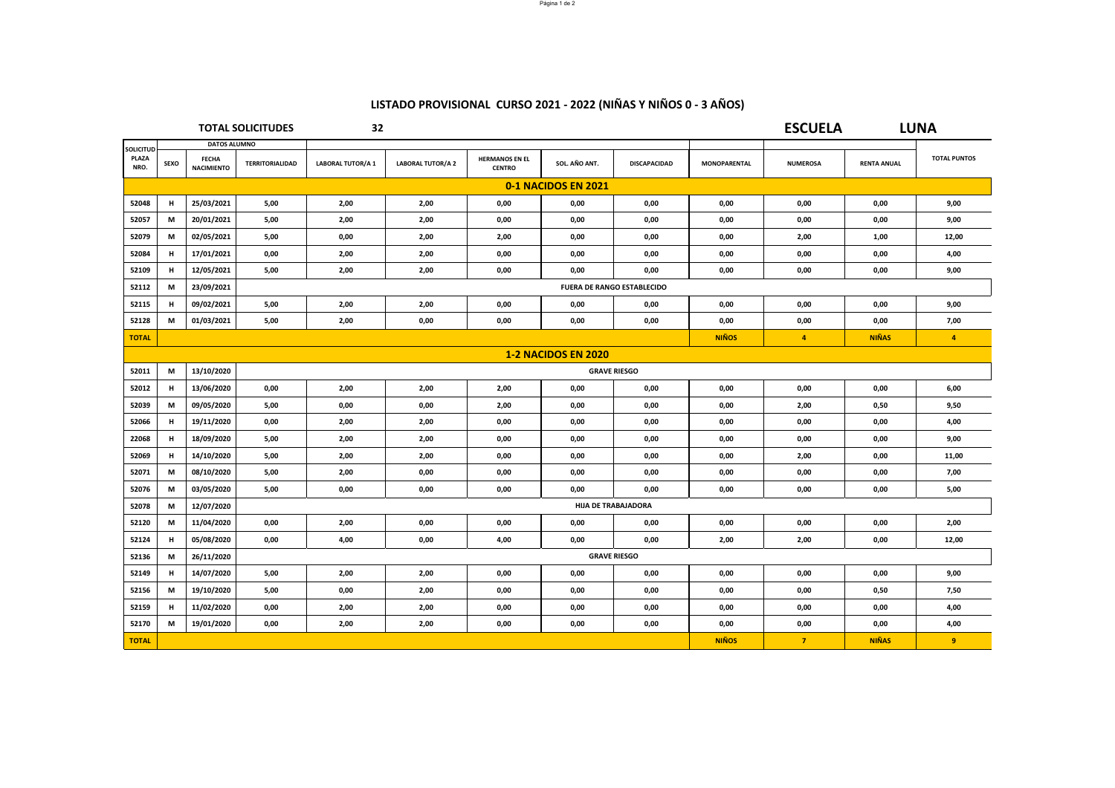## **LISTADO PROVISIONAL CURSO 2021 ‐ 2022 (NIÑAS Y NIÑOS 0 ‐ 3 AÑOS)**

|                  | <b>TOTAL SOLICITUDES</b>   |                                   | 32                                |                         |                          |                                        |               |                     | <b>ESCUELA</b>      |                      | <b>LUNA</b>        |                     |
|------------------|----------------------------|-----------------------------------|-----------------------------------|-------------------------|--------------------------|----------------------------------------|---------------|---------------------|---------------------|----------------------|--------------------|---------------------|
| <b>SOLICITUD</b> |                            | <b>DATOS ALUMNO</b>               |                                   |                         |                          |                                        |               |                     |                     |                      |                    |                     |
| PLAZA<br>NRO.    | <b>SEXO</b>                | <b>FECHA</b><br><b>NACIMIENTO</b> | <b>TERRITORIALIDAD</b>            | <b>LABORAL TUTOR/A1</b> | <b>LABORAL TUTOR/A 2</b> | <b>HERMANOS EN EL</b><br><b>CENTRO</b> | SOL. AÑO ANT. | DISCAPACIDAD        | <b>MONOPARENTAL</b> | <b>NUMEROSA</b>      | <b>RENTA ANUAL</b> | <b>TOTAL PUNTOS</b> |
|                  | 0-1 NACIDOS EN 2021        |                                   |                                   |                         |                          |                                        |               |                     |                     |                      |                    |                     |
| 52048            | н                          | 25/03/2021                        | 5,00                              | 2,00                    | 2,00                     | 0,00                                   | 0,00          | 0,00                | 0,00                | 0,00                 | 0,00               | 9,00                |
| 52057            | M                          | 20/01/2021                        | 5,00                              | 2,00                    | 2,00                     | 0,00                                   | 0,00          | 0,00                | 0,00                | 0,00                 | 0,00               | 9,00                |
| 52079            | M                          | 02/05/2021                        | 5,00                              | 0,00                    | 2,00                     | 2,00                                   | 0,00          | 0,00                | 0,00                | 2,00                 | 1,00               | 12,00               |
| 52084            | н                          | 17/01/2021                        | 0,00                              | 2,00                    | 2,00                     | 0,00                                   | 0,00          | 0,00                | 0,00                | 0,00                 | 0,00               | 4,00                |
| 52109            | н                          | 12/05/2021                        | 5,00                              | 2,00                    | 2,00                     | 0,00                                   | 0,00          | 0,00                | 0,00                | 0,00                 | 0,00               | 9,00                |
| 52112            | M                          | 23/09/2021                        | <b>FUERA DE RANGO ESTABLECIDO</b> |                         |                          |                                        |               |                     |                     |                      |                    |                     |
| 52115            | н                          | 09/02/2021                        | 5,00                              | 2,00                    | 2,00                     | 0,00                                   | 0,00          | 0,00                | 0,00                | 0,00                 | 0,00               | 9,00                |
| 52128            | M                          | 01/03/2021                        | 5,00                              | 2,00                    | 0,00                     | 0,00                                   | 0,00          | 0,00                | 0,00                | 0,00                 | 0,00               | 7,00                |
| <b>TOTAL</b>     |                            |                                   |                                   |                         |                          |                                        |               |                     | <b>NIÑOS</b>        | $\blacktriangleleft$ | <b>NIÑAS</b>       | $\overline{4}$      |
|                  | <b>1-2 NACIDOS EN 2020</b> |                                   |                                   |                         |                          |                                        |               |                     |                     |                      |                    |                     |
| 52011            | M                          | 13/10/2020                        |                                   |                         |                          |                                        |               | <b>GRAVE RIESGO</b> |                     |                      |                    |                     |
| 52012            | н                          | 13/06/2020                        | 0.00                              | 2,00                    | 2,00                     | 2,00                                   | 0.00          | 0.00                | 0,00                | 0,00                 | 0,00               | 6,00                |
| 52039            | М                          | 09/05/2020                        | 5,00                              | 0,00                    | 0,00                     | 2,00                                   | 0,00          | 0,00                | 0,00                | 2,00                 | 0,50               | 9,50                |
| 52066            | H                          | 19/11/2020                        | 0,00                              | 2,00                    | 2,00                     | 0,00                                   | 0,00          | 0,00                | 0,00                | 0,00                 | 0,00               | 4,00                |
| 22068            | н                          | 18/09/2020                        | 5,00                              | 2,00                    | 2,00                     | 0,00                                   | 0,00          | 0,00                | 0,00                | 0,00                 | 0,00               | 9,00                |
| 52069            | н                          | 14/10/2020                        | 5,00                              | 2,00                    | 2,00                     | 0,00                                   | 0,00          | 0,00                | 0,00                | 2,00                 | 0,00               | 11,00               |
| 52071            | M                          | 08/10/2020                        | 5,00                              | 2,00                    | 0,00                     | 0,00                                   | 0,00          | 0,00                | 0,00                | 0,00                 | 0,00               | 7,00                |
| 52076            | М                          | 03/05/2020                        | 5,00                              | 0,00                    | 0,00                     | 0,00                                   | 0,00          | 0,00                | 0,00                | 0,00                 | 0,00               | 5,00                |
| 52078            | М                          | 12/07/2020                        | <b>HIJA DE TRABAJADORA</b>        |                         |                          |                                        |               |                     |                     |                      |                    |                     |
| 52120            | M                          | 11/04/2020                        | 0,00                              | 2,00                    | 0,00                     | 0,00                                   | 0,00          | 0,00                | 0,00                | 0,00                 | 0,00               | 2,00                |
| 52124            | н                          | 05/08/2020                        | 0,00                              | 4,00                    | 0,00                     | 4,00                                   | 0,00          | 0,00                | 2,00                | 2,00                 | 0,00               | 12,00               |
| 52136            | М                          | 26/11/2020                        | <b>GRAVE RIESGO</b>               |                         |                          |                                        |               |                     |                     |                      |                    |                     |
| 52149            | H                          | 14/07/2020                        | 5,00                              | 2,00                    | 2,00                     | 0,00                                   | 0,00          | 0,00                | 0,00                | 0,00                 | 0,00               | 9,00                |
| 52156            | М                          | 19/10/2020                        | 5,00                              | 0,00                    | 2,00                     | 0,00                                   | 0,00          | 0,00                | 0,00                | 0,00                 | 0,50               | 7,50                |
| 52159            | H                          | 11/02/2020                        | 0,00                              | 2,00                    | 2,00                     | 0,00                                   | 0,00          | 0,00                | 0,00                | 0,00                 | 0,00               | 4,00                |
| 52170            | M                          | 19/01/2020                        | 0,00                              | 2,00                    | 2,00                     | 0,00                                   | 0,00          | 0,00                | 0,00                | 0,00                 | 0,00               | 4,00                |
| <b>TOTAL</b>     |                            |                                   |                                   |                         |                          |                                        |               |                     | <b>NIÑOS</b>        | $\overline{7}$       | <b>NIÑAS</b>       | 9                   |